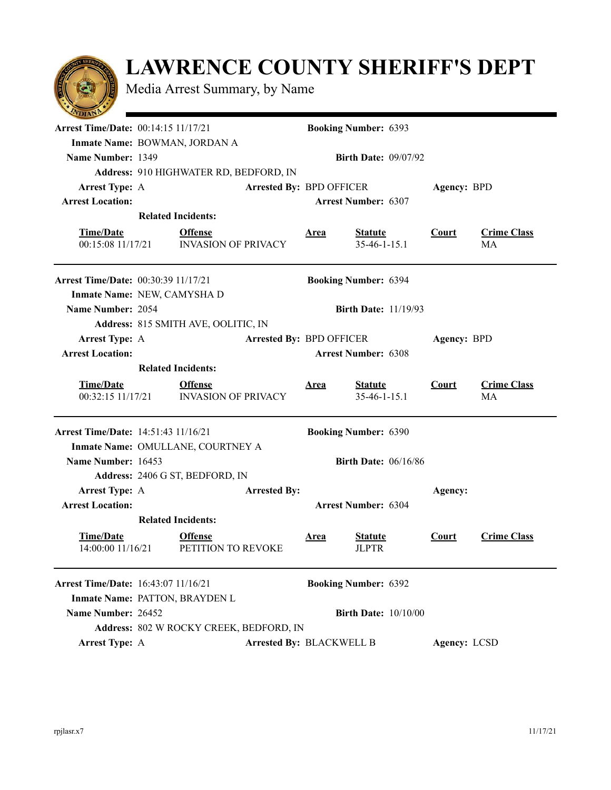## **LAWRENCE COUNTY SHERIFF'S DEPT**

Media Arrest Summary, by Name

| <b>Arrest Time/Date: 00:14:15 11/17/21</b> |                                              |  | <b>Booking Number: 6393</b>     |                                  |              |                          |  |  |
|--------------------------------------------|----------------------------------------------|--|---------------------------------|----------------------------------|--------------|--------------------------|--|--|
|                                            | Inmate Name: BOWMAN, JORDAN A                |  |                                 |                                  |              |                          |  |  |
| Name Number: 1349                          | <b>Birth Date: 09/07/92</b>                  |  |                                 |                                  |              |                          |  |  |
|                                            | Address: 910 HIGHWATER RD, BEDFORD, IN       |  |                                 |                                  |              |                          |  |  |
| <b>Arrest Type: A</b>                      | <b>Arrested By: BPD OFFICER</b>              |  |                                 |                                  | Agency: BPD  |                          |  |  |
| <b>Arrest Location:</b>                    |                                              |  | <b>Arrest Number: 6307</b>      |                                  |              |                          |  |  |
|                                            | <b>Related Incidents:</b>                    |  |                                 |                                  |              |                          |  |  |
| <b>Time/Date</b>                           | <b>Offense</b>                               |  |                                 |                                  | Court        |                          |  |  |
| 00:15:08 11/17/21                          | <b>INVASION OF PRIVACY</b>                   |  | <b>Area</b>                     | <b>Statute</b><br>$35-46-1-15.1$ |              | <b>Crime Class</b><br>MA |  |  |
| <b>Arrest Time/Date: 00:30:39 11/17/21</b> |                                              |  |                                 |                                  |              |                          |  |  |
|                                            | Inmate Name: NEW, CAMYSHA D                  |  |                                 |                                  |              |                          |  |  |
| Name Number: 2054                          |                                              |  | <b>Birth Date: 11/19/93</b>     |                                  |              |                          |  |  |
|                                            | Address: 815 SMITH AVE, OOLITIC, IN          |  |                                 |                                  |              |                          |  |  |
| <b>Arrest Type: A</b>                      |                                              |  | <b>Arrested By: BPD OFFICER</b> |                                  | Agency: BPD  |                          |  |  |
| <b>Arrest Location:</b>                    |                                              |  |                                 | <b>Arrest Number: 6308</b>       |              |                          |  |  |
|                                            | <b>Related Incidents:</b>                    |  |                                 |                                  |              |                          |  |  |
| <b>Time/Date</b><br>00:32:15 11/17/21      | <b>Offense</b><br><b>INVASION OF PRIVACY</b> |  | <b>Area</b>                     | <b>Statute</b><br>$35-46-1-15.1$ | Court        | <b>Crime Class</b><br>MA |  |  |
| <b>Arrest Time/Date: 14:51:43 11/16/21</b> |                                              |  |                                 | <b>Booking Number: 6390</b>      |              |                          |  |  |
|                                            | Inmate Name: OMULLANE, COURTNEY A            |  |                                 |                                  |              |                          |  |  |
| Name Number: 16453                         |                                              |  |                                 | <b>Birth Date: 06/16/86</b>      |              |                          |  |  |
|                                            | Address: 2406 G ST, BEDFORD, IN              |  |                                 |                                  |              |                          |  |  |
| <b>Arrest Type: A</b>                      | <b>Arrested By:</b>                          |  |                                 |                                  | Agency:      |                          |  |  |
| <b>Arrest Location:</b>                    | <b>Arrest Number: 6304</b>                   |  |                                 |                                  |              |                          |  |  |
| <b>Related Incidents:</b>                  |                                              |  |                                 |                                  |              |                          |  |  |
| <b>Time/Date</b><br>14:00:00 11/16/21      | <b>Offense</b><br>PETITION TO REVOKE         |  | <b>Area</b>                     | <b>Statute</b><br><b>JLPTR</b>   | <b>Court</b> | <b>Crime Class</b>       |  |  |
| <b>Arrest Time/Date: 16:43:07 11/16/21</b> |                                              |  |                                 | <b>Booking Number: 6392</b>      |              |                          |  |  |
|                                            | Inmate Name: PATTON, BRAYDEN L               |  |                                 |                                  |              |                          |  |  |
| Name Number: 26452                         |                                              |  |                                 | <b>Birth Date: 10/10/00</b>      |              |                          |  |  |
|                                            | Address: 802 W ROCKY CREEK, BEDFORD, IN      |  |                                 |                                  |              |                          |  |  |
| <b>Arrest Type: A</b>                      |                                              |  | <b>Arrested By: BLACKWELL B</b> |                                  | Agency: LCSD |                          |  |  |